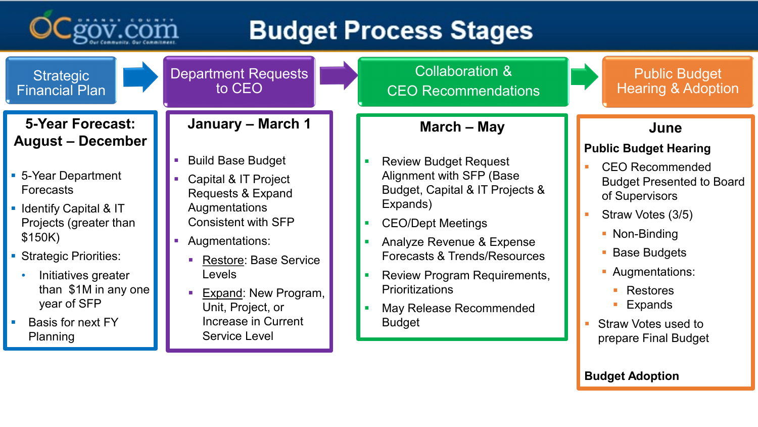

# **Budget Process Stages**

| <b>Strategic</b><br><b>Financial Plan</b>                                                                                                                                                                                                                                                       | <b>Department Requests</b><br>to CEO                                                                                                                                                                                                                                                                                       | <b>Collaboration &amp;</b><br><b>CEO Recommendations</b>                                                                                                                                                                                                                                                                     | <b>Public Budget</b><br><b>Hearing &amp; Adoption</b>                                                                                                                                                                                                                                                               |
|-------------------------------------------------------------------------------------------------------------------------------------------------------------------------------------------------------------------------------------------------------------------------------------------------|----------------------------------------------------------------------------------------------------------------------------------------------------------------------------------------------------------------------------------------------------------------------------------------------------------------------------|------------------------------------------------------------------------------------------------------------------------------------------------------------------------------------------------------------------------------------------------------------------------------------------------------------------------------|---------------------------------------------------------------------------------------------------------------------------------------------------------------------------------------------------------------------------------------------------------------------------------------------------------------------|
| <b>5-Year Forecast:</b><br><b>August - December</b><br>• 5-Year Department<br><b>Forecasts</b><br>• Identify Capital & IT<br>Projects (greater than<br>\$150K)<br>• Strategic Priorities:<br>Initiatives greater<br>than \$1M in any one<br>year of SFP<br><b>Basis for next FY</b><br>Planning | <b>January - March 1</b><br><b>Build Base Budget</b><br>Capital & IT Project<br><b>Requests &amp; Expand</b><br>Augmentations<br><b>Consistent with SFP</b><br>Augmentations:<br><b>Restore: Base Service</b><br>Levels<br><b>Expand: New Program,</b><br>Unit, Project, or<br>Increase in Current<br><b>Service Level</b> | <b>March - May</b><br><b>Review Budget Request</b><br>Alignment with SFP (Base<br>Budget, Capital & IT Projects &<br>Expands)<br><b>CEO/Dept Meetings</b><br>Analyze Revenue & Expense<br>Forecasts & Trends/Resources<br>Review Program Requirements,<br><b>Prioritizations</b><br>May Release Recommended<br><b>Budget</b> | June<br><b>Public Budget Hearing</b><br><b>CEO Recommended</b><br><b>Budget Presented to Board</b><br>of Supervisors<br>Straw Votes (3/5)<br>• Non-Binding<br>• Base Budgets<br>• Augmentations:<br><b>Restores</b><br>$\mathcal{L}_{\mathcal{A}}$<br>Expands<br><b>Straw Votes used to</b><br>prepare Final Budget |
|                                                                                                                                                                                                                                                                                                 |                                                                                                                                                                                                                                                                                                                            |                                                                                                                                                                                                                                                                                                                              | <b>Budget Adoption</b>                                                                                                                                                                                                                                                                                              |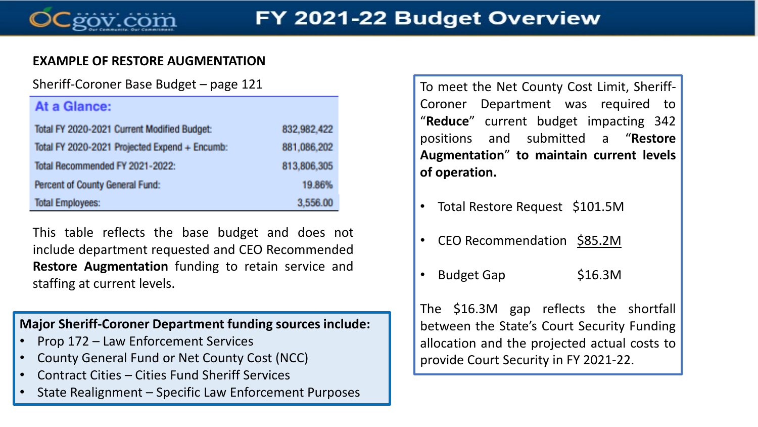

#### **EXAMPLE OF RESTORE AUGMENTATION**

#### At a Glance:

| Total FY 2020-2021 Current Modified Budget:   | 832,982,422 |
|-----------------------------------------------|-------------|
| Total FY 2020-2021 Projected Expend + Encumb: | 881,086,202 |
| Total Recommended FY 2021-2022:               | 813,806,305 |
| Percent of County General Fund:               | 19.86%      |
| <b>Total Employees:</b>                       | 3.556.00    |

This table reflects the base budget and does not include department requested and CEO Recommended **Restore Augmentation** funding to retain service and staffing at current levels.

**Major Sheriff-Coroner Department funding sources include:**

- Prop 172 Law Enforcement Services
- County General Fund or Net County Cost (NCC)
- Contract Cities Cities Fund Sheriff Services
- State Realignment Specific Law Enforcement Purposes

Sheriff-Coroner Base Budget – page 121 To meet the Net County Cost Limit, Sheriff-Coroner Department was required to "**Reduce**" current budget impacting 342 positions and submitted a "**Restore Augmentation**" **to maintain current levels of operation.**

- Total Restore Request \$101.5M
- CEO Recommendation \$85.2M
- **Budget Gap 516.3M**

The \$16.3M gap reflects the shortfall between the State's Court Security Funding allocation and the projected actual costs to provide Court Security in FY 2021-22.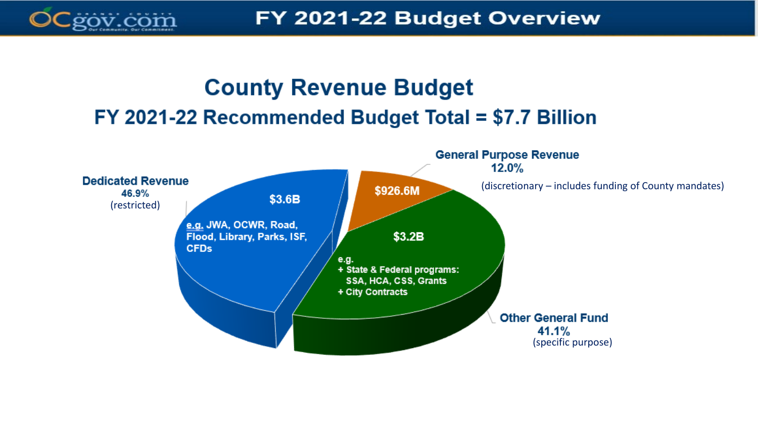

## **County Revenue Budget** FY 2021-22 Recommended Budget Total = \$7.7 Billion

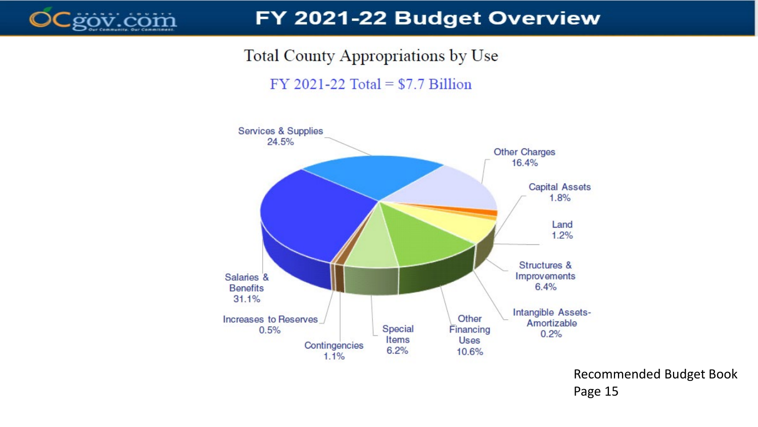

### FY 2021-22 Budget Overview

Total County Appropriations by Use

 $FY$  2021-22 Total = \$7.7 Billion



Recommended Budget Book Page 15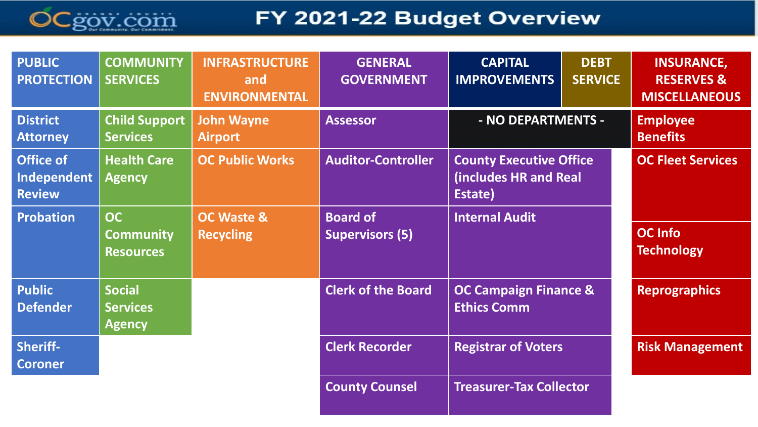

### FY 2021-22 Budget Overview

| <b>PUBLIC</b><br><b>PROTECTION</b>               | <b>COMMUNITY</b><br><b>SERVICES</b>               | <b>INFRASTRUCTURE</b><br>and<br><b>ENVIRONMENTAL</b> | <b>GENERAL</b><br><b>GOVERNMENT</b>       | <b>CAPITAL</b><br><b>IMPROVEMENTS</b>                              | <b>DEBT</b><br><b>SERVICE</b> | <b>INSURANCE,</b><br><b>RESERVES &amp;</b><br><b>MISCELLANEOUS</b> |
|--------------------------------------------------|---------------------------------------------------|------------------------------------------------------|-------------------------------------------|--------------------------------------------------------------------|-------------------------------|--------------------------------------------------------------------|
| <b>District</b><br><b>Attorney</b>               | <b>Child Support</b><br><b>Services</b>           | <b>John Wayne</b><br><b>Airport</b>                  | <b>Assessor</b>                           | - NO DEPARTMENTS -                                                 |                               | <b>Employee</b><br><b>Benefits</b>                                 |
| <b>Office of</b><br>Independent<br><b>Review</b> | <b>Health Care</b><br><b>Agency</b>               | <b>OC Public Works</b>                               | <b>Auditor-Controller</b>                 | <b>County Executive Office</b><br>(includes HR and Real<br>Estate) |                               | <b>OC Fleet Services</b>                                           |
| <b>Probation</b>                                 | <b>OC</b><br><b>Community</b><br><b>Resources</b> | <b>OC Waste &amp;</b><br><b>Recycling</b>            | <b>Board of</b><br><b>Supervisors (5)</b> | <b>Internal Audit</b>                                              |                               | <b>OC Info</b><br><b>Technology</b>                                |
| <b>Public</b><br>Defender                        | <b>Social</b><br><b>Services</b><br><b>Agency</b> |                                                      | <b>Clerk of the Board</b>                 | <b>OC Campaign Finance &amp;</b><br><b>Ethics Comm</b>             |                               | <b>Reprographics</b>                                               |
| Sheriff-<br><b>Coroner</b>                       |                                                   |                                                      | <b>Clerk Recorder</b>                     | <b>Registrar of Voters</b>                                         |                               | <b>Risk Management</b>                                             |
|                                                  |                                                   |                                                      | <b>County Counsel</b>                     | <b>Treasurer-Tax Collector</b>                                     |                               |                                                                    |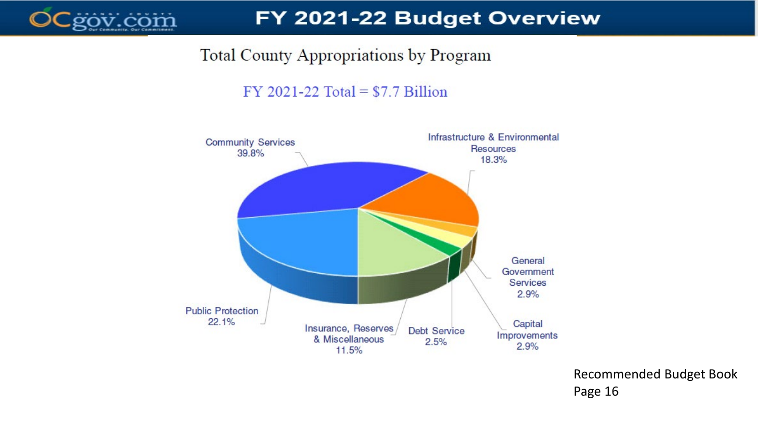

### **Total County Appropriations by Program**

 $FY$  2021-22 Total = \$7.7 Billion



Recommended Budget Book Page 16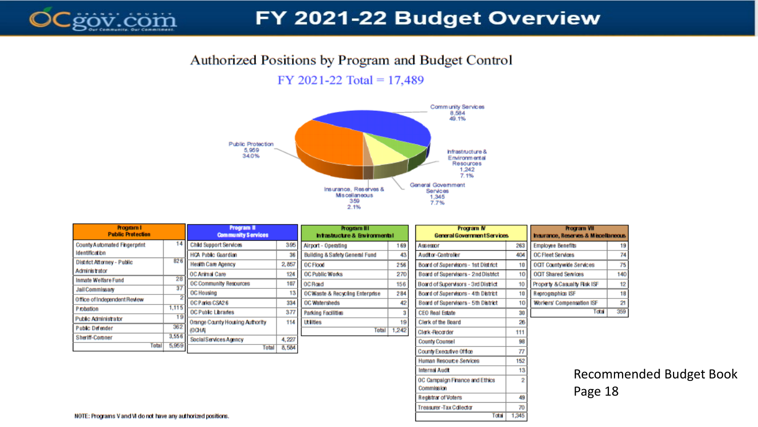

### FY 2021-22 Budget Overview

Commission

**Registrar of Voters** 

Treasurer-Tax Collector

49  $70$ 

1,345

**Total** 

#### Authorized Positions by Program and Budget Control

#### FY 2021-22 Total =  $17,489$



| Program I<br><b>Public Protection</b> |       | Program II<br><b>Community Services</b> |       | Program III<br>htastuctre & Bwronnental   |       | Program IV<br>General Government Services |                 | <b>Procram VII</b><br>haurance, Reserves & Miscellaneous |     |
|---------------------------------------|-------|-----------------------------------------|-------|-------------------------------------------|-------|-------------------------------------------|-----------------|----------------------------------------------------------|-----|
| <b>County Automated Fingerprint</b>   | 14    | <b>Child Support Services</b>           | 395   | Airport - Operating                       | 169   | <b>Assessor</b>                           | 263             | <b>Employee Benefits</b>                                 | 19  |
| <b>Identification</b>                 |       | <b>HOA Public Guardian</b>              | 3     | <b>Building &amp; Safety General Fund</b> | 43    | Audtor-Controller                         | 404             | <b>OC Fleet Services</b>                                 | 74  |
| District Attorney - Public            | 826   | <b>Health Care Agency</b>               | 2,857 | <b>OC Flood</b>                           | 256   | Board of Supervisors - 1st District       | 10 <sub>1</sub> | <b>OCIT Countywide Services</b>                          | 75  |
| Administrator                         |       | OC Animal Care                          | 124   | OC Public Works                           | 270   | Board of Supervisors - 2nd District       | 10 <sub>1</sub> | <b>OCIT Shared Services</b>                              | 140 |
| <b>Inmate Welfare Fund</b>            | 28    | <b>OC Community Resources</b>           | 107   | <b>OC Road</b>                            | 156   | Board of Supervisors - 3rd District       | 10 <sub>1</sub> | Property & Casualty Risk ISF                             | 12  |
| <b>Jail Commissary</b>                | 37    | <b>OC Housing</b>                       | 12    | <b>OCWaste &amp; Recycling Enterprise</b> | 284   | Board of Supervisors - 4th District       | 10 <sub>1</sub> | Reprographics ISF                                        | 18  |
| Office of Independent Review          |       | OC Parks CSA26                          | 334   | OC Watersheds                             | 42    | Board of Supervisors - 5th District       | 10 <sub>1</sub> | <b>Workers' Compensation ISF</b>                         | 21  |
| P robation                            | 1,115 | <b>OC Public Libraries</b>              | 377   | Parking Facilities                        |       | <b>CEO Real Estate</b>                    | 30              | Total                                                    | 359 |
| <b>Public Administrator</b>           | 19    | Orange County Housing Authority         | 114   | <b>Ltilities</b>                          | 19    | Clerk of the Board                        | 26              |                                                          |     |
| Public Defender                       | 362   | (OCHA)                                  |       | <b>Total</b>                              | 1,242 | Clerk-Recorder                            | 111             |                                                          |     |
| Sheriff-Coroner                       | 3,556 | Social Services Agency                  | 4,227 |                                           |       | <b>County Counsel</b>                     | 98              |                                                          |     |
| <b>Total</b>                          | 5,959 | Total                                   | 8,584 |                                           |       | County Executive Office                   | 77              |                                                          |     |
|                                       |       |                                         |       |                                           |       | <b>Human Resource Services</b>            | 152             |                                                          |     |
|                                       |       |                                         |       |                                           |       |                                           |                 |                                                          |     |
|                                       |       |                                         |       |                                           |       | Internal Audit                            | 13              | Recomme                                                  |     |
|                                       |       |                                         |       |                                           |       | OC Campaign Finance and Ethics            | 2               |                                                          |     |

Inded Budget Book Page 18